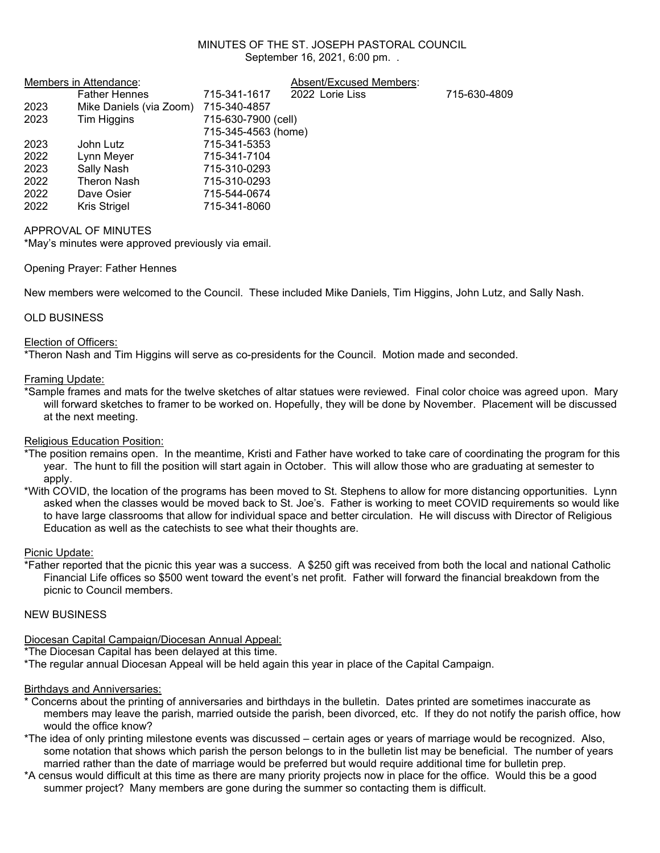### MINUTES OF THE ST. JOSEPH PASTORAL COUNCIL September 16, 2021, 6:00 pm. .

|      | Members in Attendance:  | Absent/Excused Members: |                 |              |
|------|-------------------------|-------------------------|-----------------|--------------|
|      | <b>Father Hennes</b>    | 715-341-1617            | 2022 Lorie Liss | 715-630-4809 |
| 2023 | Mike Daniels (via Zoom) | 715-340-4857            |                 |              |
| 2023 | Tim Higgins             | 715-630-7900 (cell)     |                 |              |
|      |                         | 715-345-4563 (home)     |                 |              |
| 2023 | John Lutz               | 715-341-5353            |                 |              |
| 2022 | Lynn Meyer              | 715-341-7104            |                 |              |
| 2023 | Sally Nash              | 715-310-0293            |                 |              |
| 2022 | Theron Nash             | 715-310-0293            |                 |              |
| 2022 | Dave Osier              | 715-544-0674            |                 |              |
| 2022 | Kris Strigel            | 715-341-8060            |                 |              |

### APPROVAL OF MINUTES

\*May's minutes were approved previously via email.

### Opening Prayer: Father Hennes

New members were welcomed to the Council. These included Mike Daniels, Tim Higgins, John Lutz, and Sally Nash.

### OLD BUSINESS

### Election of Officers:

\*Theron Nash and Tim Higgins will serve as co-presidents for the Council. Motion made and seconded.

### Framing Update:

\*Sample frames and mats for the twelve sketches of altar statues were reviewed. Final color choice was agreed upon. Mary will forward sketches to framer to be worked on. Hopefully, they will be done by November. Placement will be discussed at the next meeting.

### Religious Education Position:

\*The position remains open. In the meantime, Kristi and Father have worked to take care of coordinating the program for this year. The hunt to fill the position will start again in October. This will allow those who are graduating at semester to apply.

\*With COVID, the location of the programs has been moved to St. Stephens to allow for more distancing opportunities. Lynn asked when the classes would be moved back to St. Joe's. Father is working to meet COVID requirements so would like to have large classrooms that allow for individual space and better circulation. He will discuss with Director of Religious Education as well as the catechists to see what their thoughts are.

### Picnic Update:

\*Father reported that the picnic this year was a success. A \$250 gift was received from both the local and national Catholic Financial Life offices so \$500 went toward the event's net profit. Father will forward the financial breakdown from the picnic to Council members.

### NEW BUSINESS

# Diocesan Capital Campaign/Diocesan Annual Appeal:

\*The Diocesan Capital has been delayed at this time.

\*The regular annual Diocesan Appeal will be held again this year in place of the Capital Campaign.

# Birthdays and Anniversaries:

- \* Concerns about the printing of anniversaries and birthdays in the bulletin. Dates printed are sometimes inaccurate as members may leave the parish, married outside the parish, been divorced, etc. If they do not notify the parish office, how would the office know?
- \*The idea of only printing milestone events was discussed certain ages or years of marriage would be recognized. Also, some notation that shows which parish the person belongs to in the bulletin list may be beneficial. The number of years married rather than the date of marriage would be preferred but would require additional time for bulletin prep.
- \*A census would difficult at this time as there are many priority projects now in place for the office. Would this be a good summer project? Many members are gone during the summer so contacting them is difficult.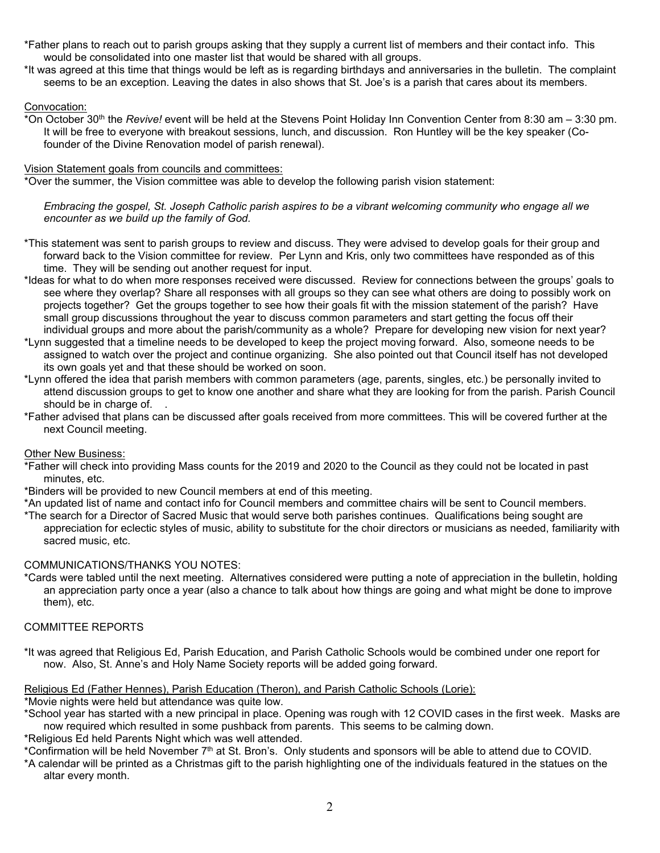- \*Father plans to reach out to parish groups asking that they supply a current list of members and their contact info. This would be consolidated into one master list that would be shared with all groups.
- \*It was agreed at this time that things would be left as is regarding birthdays and anniversaries in the bulletin. The complaint seems to be an exception. Leaving the dates in also shows that St. Joe's is a parish that cares about its members.

### Convocation:

\*On October 30th the *Revive!* event will be held at the Stevens Point Holiday Inn Convention Center from 8:30 am – 3:30 pm. It will be free to everyone with breakout sessions, lunch, and discussion. Ron Huntley will be the key speaker (Cofounder of the Divine Renovation model of parish renewal).

#### Vision Statement goals from councils and committees:

\*Over the summer, the Vision committee was able to develop the following parish vision statement:

*Embracing the gospel, St. Joseph Catholic parish aspires to be a vibrant welcoming community who engage all we encounter as we build up the family of God.*

- \*This statement was sent to parish groups to review and discuss. They were advised to develop goals for their group and forward back to the Vision committee for review. Per Lynn and Kris, only two committees have responded as of this time. They will be sending out another request for input.
- \*Ideas for what to do when more responses received were discussed. Review for connections between the groups' goals to see where they overlap? Share all responses with all groups so they can see what others are doing to possibly work on projects together? Get the groups together to see how their goals fit with the mission statement of the parish? Have small group discussions throughout the year to discuss common parameters and start getting the focus off their individual groups and more about the parish/community as a whole? Prepare for developing new vision for next year?
- \*Lynn suggested that a timeline needs to be developed to keep the project moving forward. Also, someone needs to be assigned to watch over the project and continue organizing. She also pointed out that Council itself has not developed its own goals yet and that these should be worked on soon.
- \*Lynn offered the idea that parish members with common parameters (age, parents, singles, etc.) be personally invited to attend discussion groups to get to know one another and share what they are looking for from the parish. Parish Council should be in charge of. .
- \*Father advised that plans can be discussed after goals received from more committees. This will be covered further at the next Council meeting.

### Other New Business:

- \*Father will check into providing Mass counts for the 2019 and 2020 to the Council as they could not be located in past minutes, etc.
- \*Binders will be provided to new Council members at end of this meeting.
- \*An updated list of name and contact info for Council members and committee chairs will be sent to Council members.
- \*The search for a Director of Sacred Music that would serve both parishes continues. Qualifications being sought are appreciation for eclectic styles of music, ability to substitute for the choir directors or musicians as needed, familiarity with sacred music, etc.

### COMMUNICATIONS/THANKS YOU NOTES:

\*Cards were tabled until the next meeting. Alternatives considered were putting a note of appreciation in the bulletin, holding an appreciation party once a year (also a chance to talk about how things are going and what might be done to improve them), etc.

### COMMITTEE REPORTS

\*It was agreed that Religious Ed, Parish Education, and Parish Catholic Schools would be combined under one report for now. Also, St. Anne's and Holy Name Society reports will be added going forward.

### Religious Ed (Father Hennes), Parish Education (Theron), and Parish Catholic Schools (Lorie):

\*Movie nights were held but attendance was quite low.

\*School year has started with a new principal in place. Opening was rough with 12 COVID cases in the first week. Masks are now required which resulted in some pushback from parents. This seems to be calming down.

\*Religious Ed held Parents Night which was well attended.

\*Confirmation will be held November 7th at St. Bron's. Only students and sponsors will be able to attend due to COVID.

\*A calendar will be printed as a Christmas gift to the parish highlighting one of the individuals featured in the statues on the altar every month.